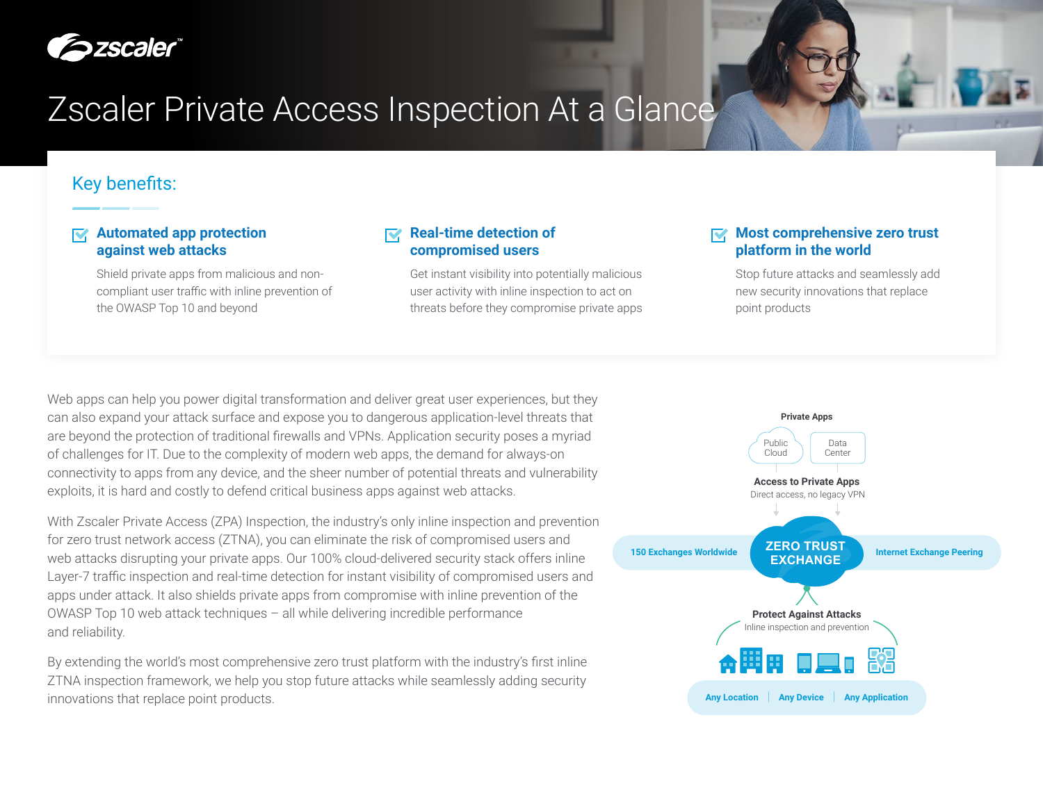

# Zscaler Private Access Inspection At a Glance

# Key benefits:

### **Automated app protection against web attacks**

Shield private apps from malicious and noncompliant user traffic with inline prevention of the OWASP Top 10 and beyond

### **Real-time detection of compromised users**

Get instant visibility into potentially malicious user activity with inline inspection to act on threats before they compromise private apps

#### **Most comprehensive zero trust platform in the world**

Stop future attacks and seamlessly add new security innovations that replace point products

Web apps can help you power digital transformation and deliver great user experiences, but they can also expand your attack surface and expose you to dangerous application-level threats that are beyond the protection of traditional firewalls and VPNs. Application security poses a myriad of challenges for IT. Due to the complexity of modern web apps, the demand for always-on connectivity to apps from any device, and the sheer number of potential threats and vulnerability exploits, it is hard and costly to defend critical business apps against web attacks.

With Zscaler Private Access (ZPA) Inspection, the industry's only inline inspection and prevention for zero trust network access (ZTNA), you can eliminate the risk of compromised users and web attacks disrupting your private apps. Our 100% cloud-delivered security stack offers inline Layer-7 traffic inspection and real-time detection for instant visibility of compromised users and apps under attack. It also shields private apps from compromise with inline prevention of the OWASP Top 10 web attack techniques – all while delivering incredible performance and reliability.

By extending the world's most comprehensive zero trust platform with the industry's first inline ZTNA inspection framework, we help you stop future attacks while seamlessly adding security innovations that replace point products.